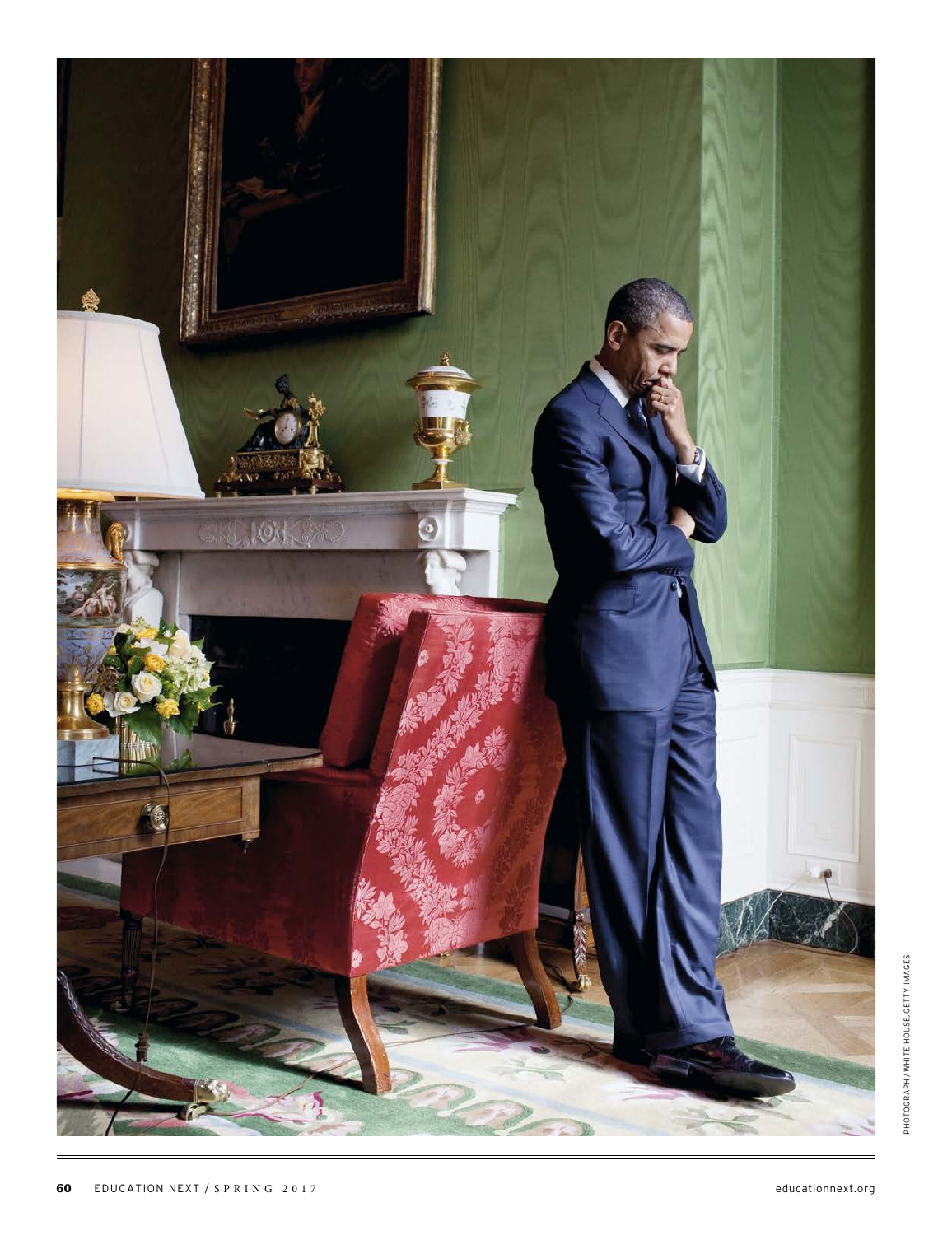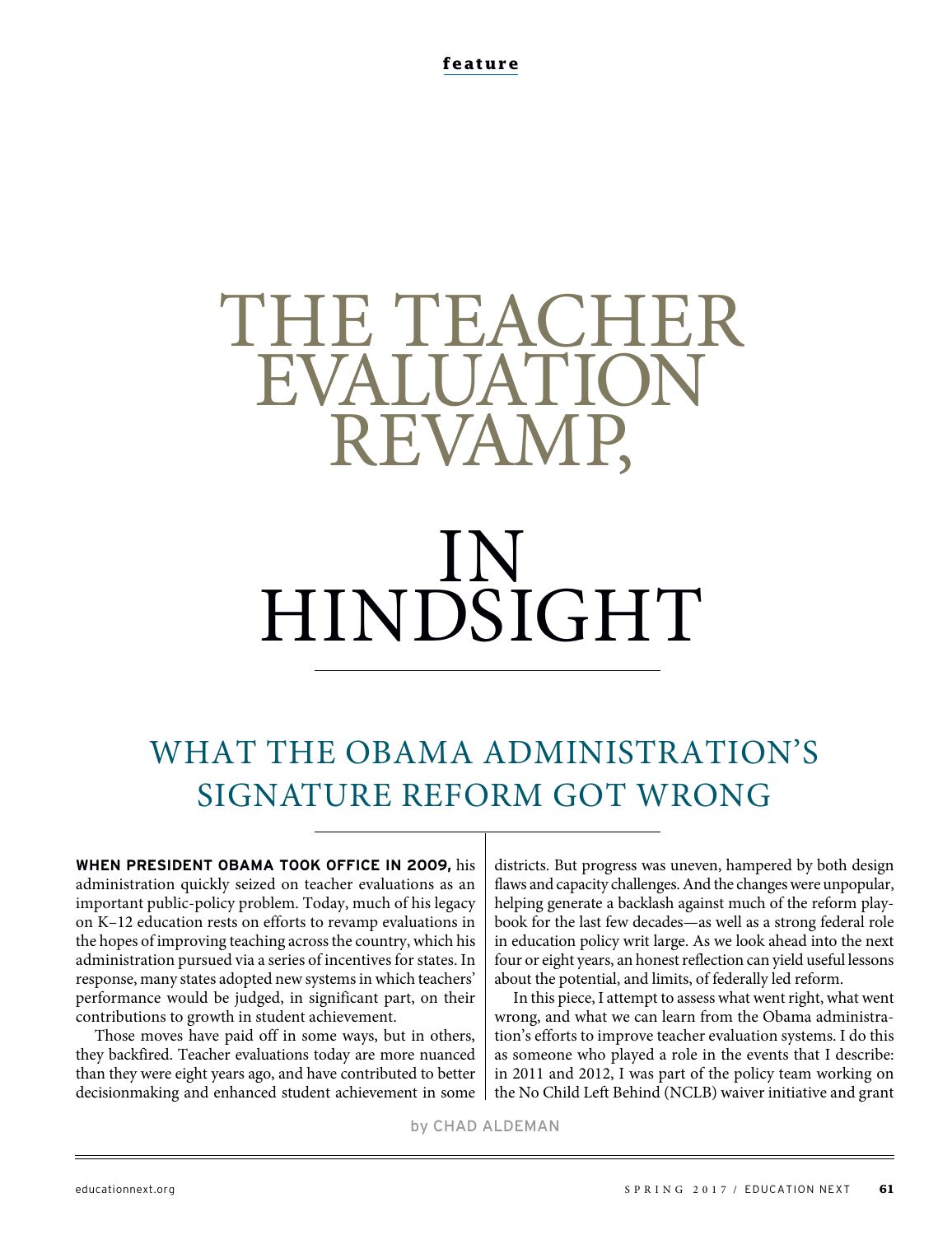# THE TEACHER **EVALUATION** REVAMP,

# IN HINDSIGHT

# WHAT THE OBAMA ADMINISTRATION'S SIGNATURE REFORM GOT WRONG

**WHEN PRESIDENT OBAMA TOOK OFFICE IN 2009,** his administration quickly seized on teacher evaluations as an important public-policy problem. Today, much of his legacy on K–12 education rests on efforts to revamp evaluations in the hopes of improving teaching across the country, which his administration pursued via a series of incentives for states. In response, many states adopted new systems in which teachers' performance would be judged, in significant part, on their contributions to growth in student achievement.

Those moves have paid off in some ways, but in others, they backfired. Teacher evaluations today are more nuanced than they were eight years ago, and have contributed to better decisionmaking and enhanced student achievement in some districts. But progress was uneven, hampered by both design flaws and capacity challenges. And the changes were unpopular, helping generate a backlash against much of the reform playbook for the last few decades—as well as a strong federal role in education policy writ large. As we look ahead into the next four or eight years, an honest reflection can yield useful lessons about the potential, and limits, of federally led reform.

In this piece, I attempt to assess what went right, what went wrong, and what we can learn from the Obama administration's efforts to improve teacher evaluation systems. I do this as someone who played a role in the events that I describe: in 2011 and 2012, I was part of the policy team working on the No Child Left Behind (NCLB) waiver initiative and grant

by CHAD ALDEMAN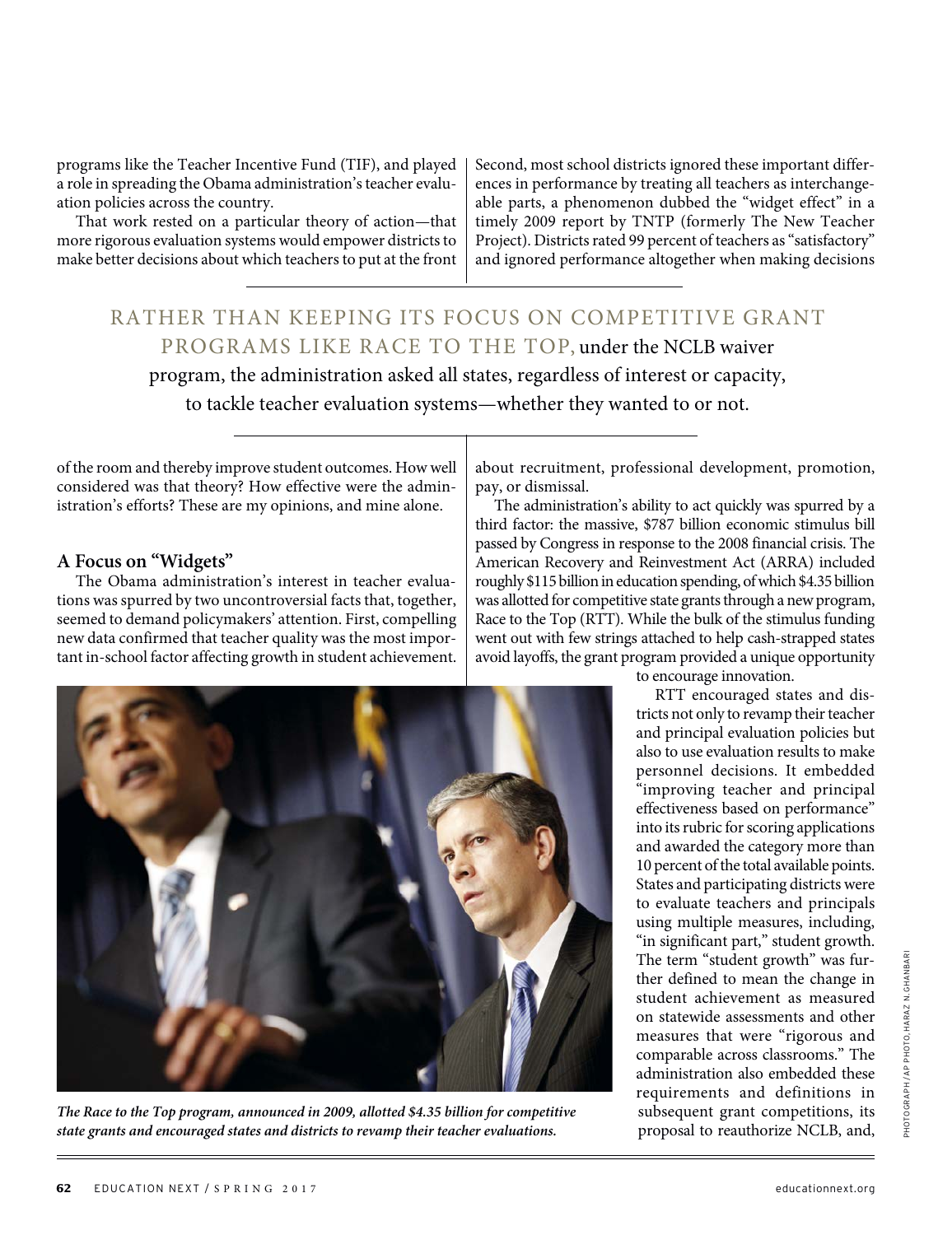programs like the Teacher Incentive Fund (TIF), and played a role in spreading the Obama administration's teacher evaluation policies across the country.

That work rested on a particular theory of action—that more rigorous evaluation systems would empower districts to make better decisions about which teachers to put at the front

Second, most school districts ignored these important differences in performance by treating all teachers as interchangeable parts, a phenomenon dubbed the "widget effect" in a timely 2009 report by TNTP (formerly The New Teacher Project). Districts rated 99 percent of teachers as "satisfactory" and ignored performance altogether when making decisions

RATHER THAN KEEPING ITS FOCUS ON COMPETITIVE GRANT PROGRAMS LIKE RACE TO THE TOP, under the NCLB waiver program, the administration asked all states, regardless of interest or capacity, to tackle teacher evaluation systems—whether they wanted to or not.

of the room and thereby improve student outcomes. How well considered was that theory? How effective were the administration's efforts? These are my opinions, and mine alone.

#### **A Focus on "Widgets"**

The Obama administration's interest in teacher evaluations was spurred by two uncontroversial facts that, together, seemed to demand policymakers' attention. First, compelling new data confirmed that teacher quality was the most important in-school factor affecting growth in student achievement.

about recruitment, professional development, promotion, pay, or dismissal.

The administration's ability to act quickly was spurred by a third factor: the massive, \$787 billion economic stimulus bill passed by Congress in response to the 2008 financial crisis. The American Recovery and Reinvestment Act (ARRA) included roughly \$115 billion in education spending, of which \$4.35 billion was allotted for competitive state grants through a new program, Race to the Top (RTT). While the bulk of the stimulus funding went out with few strings attached to help cash-strapped states avoid layoffs, the grant program provided a unique opportunity



**The Race to the Top program, announced in 2009, allotted \$4.35 billion for competitive state grants and encouraged states and districts to revamp their teacher evaluations.** 

to encourage innovation.

RTT encouraged states and districts not only to revamp their teacher and principal evaluation policies but also to use evaluation results to make personnel decisions. It embedded "improving teacher and principal effectiveness based on performance" into its rubric for scoring applications and awarded the category more than 10 percent of the total available points. States and participating districts were to evaluate teachers and principals using multiple measures, including, "in significant part," student growth. The term "student growth" was further defined to mean the change in student achievement as measured on statewide assessments and other measures that were "rigorous and comparable across classrooms." The administration also embedded these requirements and definitions in subsequent grant competitions, its proposal to reauthorize NCLB, and,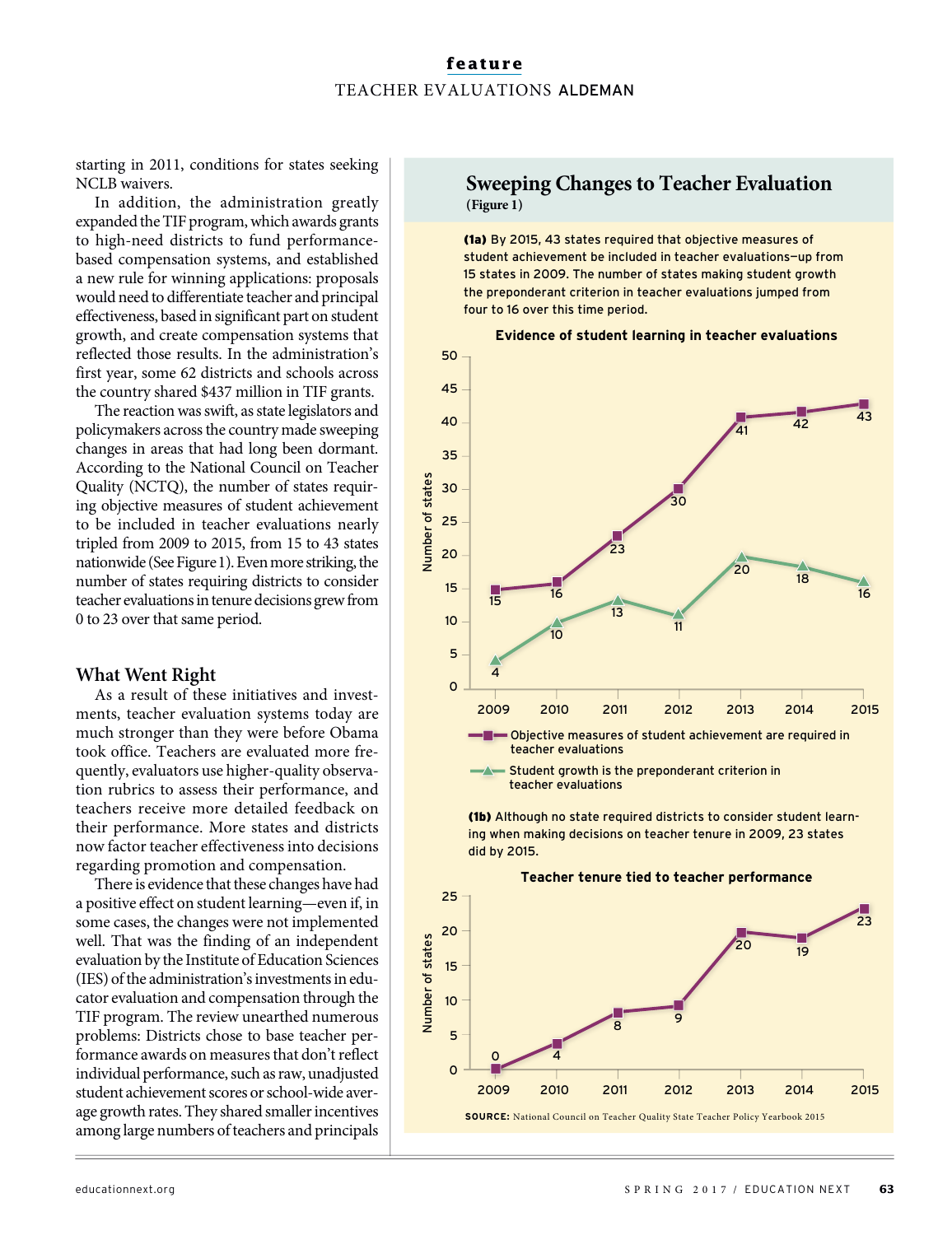Number of states

Number of states

starting in 2011, conditions for states seeking NCLB waivers.

In addition, the administration greatly expanded the TIF program, which awards grants to high-need districts to fund performancebased compensation systems, and established a new rule for winning applications: proposals would need to differentiate teacher and principal effectiveness, based in significant part on student growth, and create compensation systems that reflected those results. In the administration's first year, some 62 districts and schools across the country shared \$437 million in TIF grants.

The reaction was swift, as state legislators and policymakers across the country made sweeping changes in areas that had long been dormant. According to the National Council on Teacher Quality (NCTQ), the number of states requiring objective measures of student achievement to be included in teacher evaluations nearly tripled from 2009 to 2015, from 15 to 43 states nationwide (See Figure 1). Even more striking, the number of states requiring districts to consider teacher evaluations in tenure decisions grew from 0 to 23 over that same period.

#### **What Went Right**

As a result of these initiatives and investments, teacher evaluation systems today are much stronger than they were before Obama took office. Teachers are evaluated more frequently, evaluators use higher-quality observation rubrics to assess their performance, and teachers receive more detailed feedback on their performance. More states and districts now factor teacher effectiveness into decisions regarding promotion and compensation.

There is evidence that these changes have had a positive effect on student learning—even if, in some cases, the changes were not implemented well. That was the finding of an independent evaluation by the Institute of Education Sciences (IES) of the administration's investments in educator evaluation and compensation through the TIF program. The review unearthed numerous problems: Districts chose to base teacher performance awards on measures that don't reflect individual performance, such as raw, unadjusted student achievement scores or school-wide average growth rates. They shared smaller incentives among large numbers of teachers and principals

#### **Sweeping Changes to Teacher Evaluation (Figure 1)**

(1a) By 2015, 43 states required that objective measures of student achievement be included in teacher evaluations—up from 15 states in 2009. The number of states making student growth the preponderant criterion in teacher evaluations jumped from four to 16 over this time period.



**THE Objective measures of student achievement are required in** teacher evaluations

2009 2010 2011 2012 2013 2014 2015

Student growth is the preponderant criterion in teacher evaluations

(1b) Although no state required districts to consider student learning when making decisions on teacher tenure in 2009, 23 states did by 2015.

**Teacher tenure tied to teacher performance** 25 2320 Number of states Number of states 20  $\frac{1}{19}$ 15 10 <sup>8</sup> <sup>9</sup> 5  $0 \angle 4$  $\overline{O}$ 2009 2010 2011 2012 2013 2014 2015 **SOURCE:** National Council on Teacher Quality State Teacher Policy Yearbook 2015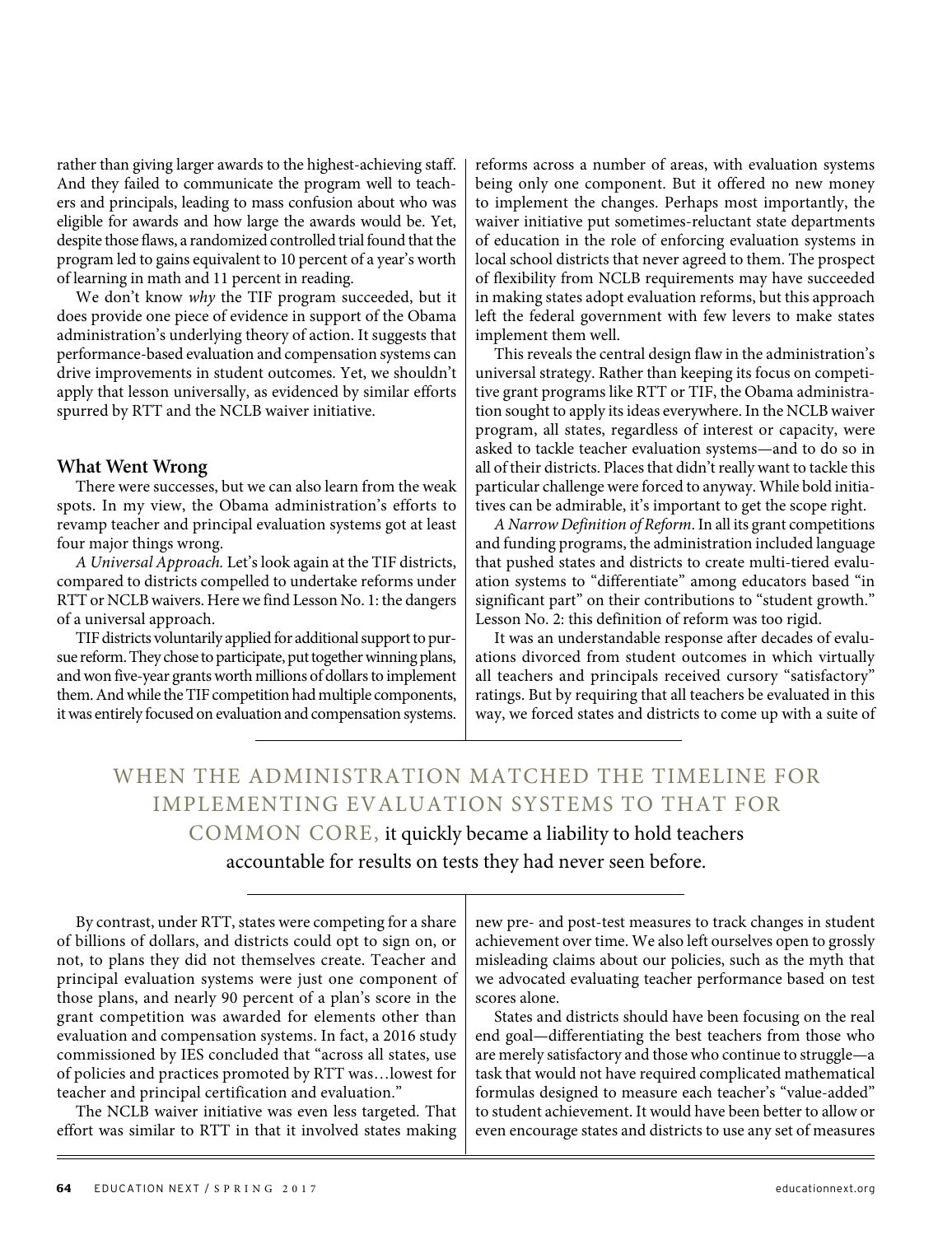rather than giving larger awards to the highest-achieving staff. And they failed to communicate the program well to teachers and principals, leading to mass confusion about who was eligible for awards and how large the awards would be. Yet, despite those flaws, a randomized controlled trial found that the program led to gains equivalent to 10 percent of a year's worth of learning in math and 11 percent in reading.

We don't know why the TIF program succeeded, but it does provide one piece of evidence in support of the Obama administration's underlying theory of action. It suggests that performance-based evaluation and compensation systems can drive improvements in student outcomes. Yet, we shouldn't apply that lesson universally, as evidenced by similar efforts spurred by RTT and the NCLB waiver initiative.

#### **What Went Wrong**

There were successes, but we can also learn from the weak spots. In my view, the Obama administration's efforts to revamp teacher and principal evaluation systems got at least four major things wrong.

A Universal Approach. Let's look again at the TIF districts, compared to districts compelled to undertake reforms under RTT or NCLB waivers. Here we find Lesson No. 1: the dangers of a universal approach.

TIF districts voluntarily applied for additional support to pursue reform. They chose to participate, put together winning plans, and won five-year grants worth millions of dollars to implement them. And while the TIF competition had multiple components, it was entirely focused on evaluation and compensation systems.

reforms across a number of areas, with evaluation systems being only one component. But it offered no new money to implement the changes. Perhaps most importantly, the waiver initiative put sometimes-reluctant state departments of education in the role of enforcing evaluation systems in local school districts that never agreed to them. The prospect of flexibility from NCLB requirements may have succeeded in making states adopt evaluation reforms, but this approach left the federal government with few levers to make states implement them well.

This reveals the central design flaw in the administration's universal strategy. Rather than keeping its focus on competitive grant programs like RTT or TIF, the Obama administration sought to apply its ideas everywhere. In the NCLB waiver program, all states, regardless of interest or capacity, were asked to tackle teacher evaluation systems—and to do so in all of their districts. Places that didn't really want to tackle this particular challenge were forced to anyway. While bold initiatives can be admirable, it's important to get the scope right.

A Narrow Definition of Reform. In all its grant competitions and funding programs, the administration included language that pushed states and districts to create multi-tiered evaluation systems to "differentiate" among educators based "in significant part" on their contributions to "student growth." Lesson No. 2: this definition of reform was too rigid.

It was an understandable response after decades of evaluations divorced from student outcomes in which virtually all teachers and principals received cursory "satisfactory" ratings. But by requiring that all teachers be evaluated in this way, we forced states and districts to come up with a suite of

WHEN THE ADMINISTRATION MATCHED THE TIMELINE FOR IMPLEMENTING EVALUATION SYSTEMS TO THAT FOR COMMON CORE, it quickly became a liability to hold teachers accountable for results on tests they had never seen before.

By contrast, under RTT, states were competing for a share of billions of dollars, and districts could opt to sign on, or not, to plans they did not themselves create. Teacher and principal evaluation systems were just one component of those plans, and nearly 90 percent of a plan's score in the grant competition was awarded for elements other than evaluation and compensation systems. In fact, a 2016 study commissioned by IES concluded that "across all states, use of policies and practices promoted by RTT was…lowest for teacher and principal certification and evaluation."

The NCLB waiver initiative was even less targeted. That effort was similar to RTT in that it involved states making new pre- and post-test measures to track changes in student achievement over time. We also left ourselves open to grossly misleading claims about our policies, such as the myth that we advocated evaluating teacher performance based on test scores alone.

States and districts should have been focusing on the real end goal—differentiating the best teachers from those who are merely satisfactory and those who continue to struggle—a task that would not have required complicated mathematical formulas designed to measure each teacher's "value-added" to student achievement. It would have been better to allow or even encourage states and districts to use any set of measures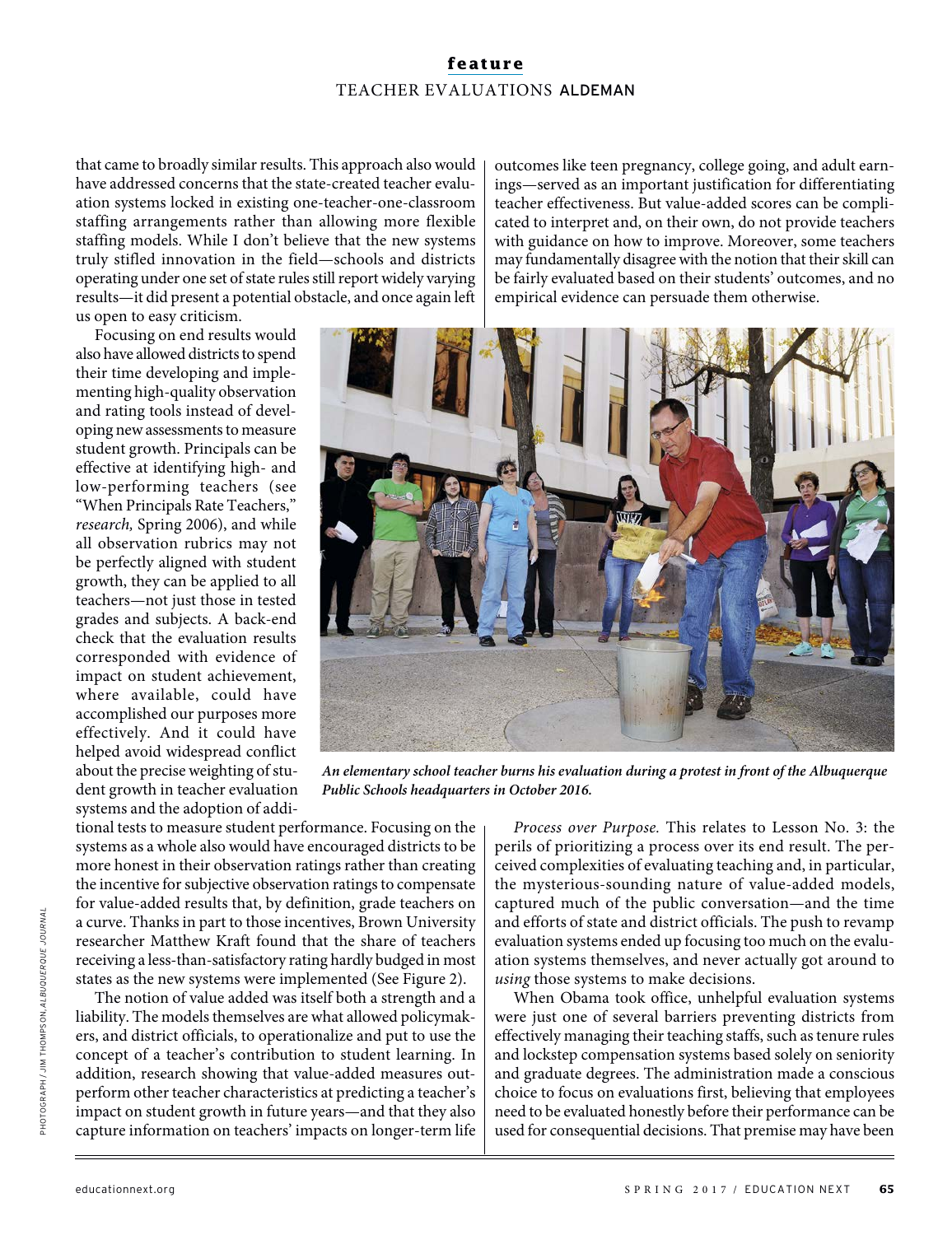that came to broadly similar results. This approach also would have addressed concerns that the state-created teacher evaluation systems locked in existing one-teacher-one-classroom staffing arrangements rather than allowing more flexible staffing models. While I don't believe that the new systems truly stifled innovation in the field—schools and districts operating under one set of state rules still report widely varying results—it did present a potential obstacle, and once again left us open to easy criticism.

Focusing on end results would also have allowed districts to spend their time developing and implementing high-quality observation and rating tools instead of developing new assessments to measure student growth. Principals can be effective at identifying high- and low-performing teachers (see "When Principals Rate Teachers," research, Spring 2006), and while all observation rubrics may not be perfectly aligned with student growth, they can be applied to all teachers—not just those in tested grades and subjects. A back-end check that the evaluation results corresponded with evidence of impact on student achievement, where available, could have accomplished our purposes more effectively. And it could have helped avoid widespread conflict about the precise weighting of stuoutcomes like teen pregnancy, college going, and adult earnings—served as an important justification for differentiating teacher effectiveness. But value-added scores can be complicated to interpret and, on their own, do not provide teachers with guidance on how to improve. Moreover, some teachers may fundamentally disagree with the notion that their skill can be fairly evaluated based on their students' outcomes, and no empirical evidence can persuade them otherwise.



**An elementary school teacher burns his evaluation during a protest in front of the Albuquerque Public Schools headquarters in October 2016.**

dent growth in teacher evaluation systems and the adoption of additional tests to measure student performance. Focusing on the systems as a whole also would have encouraged districts to be more honest in their observation ratings rather than creating the incentive for subjective observation ratings to compensate for value-added results that, by definition, grade teachers on a curve. Thanks in part to those incentives, Brown University researcher Matthew Kraft found that the share of teachers receiving a less-than-satisfactory rating hardly budged in most states as the new systems were implemented (See Figure 2).

The notion of value added was itself both a strength and a liability. The models themselves are what allowed policymakers, and district officials, to operationalize and put to use the concept of a teacher's contribution to student learning. In addition, research showing that value-added measures outperform other teacher characteristics at predicting a teacher's impact on student growth in future years—and that they also capture information on teachers' impacts on longer-term life

Process over Purpose. This relates to Lesson No. 3: the perils of prioritizing a process over its end result. The perceived complexities of evaluating teaching and, in particular, the mysterious-sounding nature of value-added models, captured much of the public conversation—and the time and efforts of state and district officials. The push to revamp evaluation systems ended up focusing too much on the evaluation systems themselves, and never actually got around to using those systems to make decisions.

When Obama took office, unhelpful evaluation systems were just one of several barriers preventing districts from effectively managing their teaching staffs, such as tenure rules and lockstep compensation systems based solely on seniority and graduate degrees. The administration made a conscious choice to focus on evaluations first, believing that employees need to be evaluated honestly before their performance can be used for consequential decisions. That premise may have been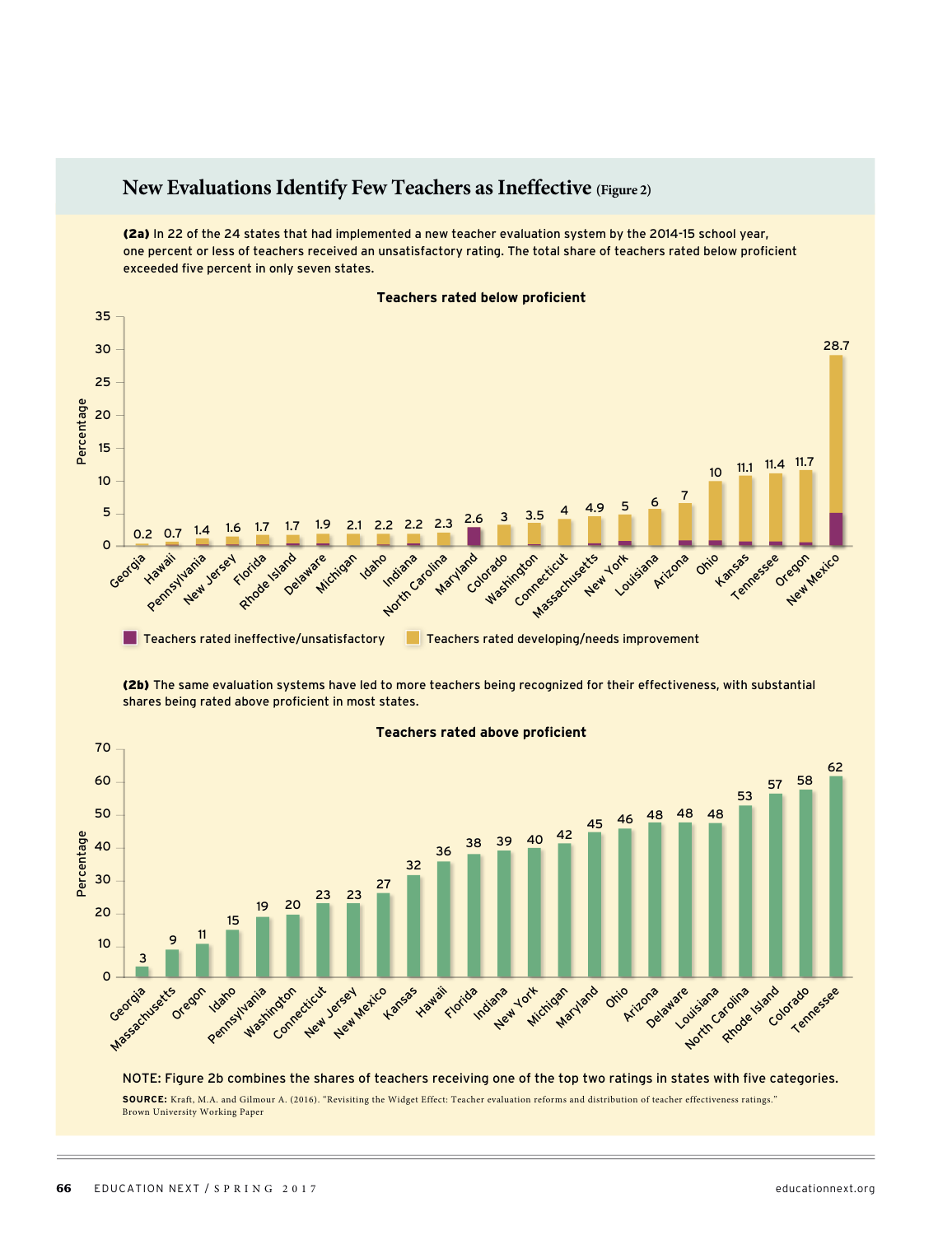## **New Evaluations Identify Few Teachers as Ineffective (Figure 2)**

(2a) In 22 of the 24 states that had implemented a new teacher evaluation system by the 2014-15 school year, one percent or less of teachers received an unsatisfactory rating. The total share of teachers rated below proficient exceeded five percent in only seven states.



(2b) The same evaluation systems have led to more teachers being recognized for their effectiveness, with substantial shares being rated above proficient in most states.



#### **Teachers rated above proficient**

NOTE: Figure 2b combines the shares of teachers receiving one of the top two ratings in states with five categories.

**SOURCE:** Kraft, M.A. and Gilmour A. (2016). "Revisiting the Widget Effect: Teacher evaluation reforms and distribution of teacher effectiveness ratings." Brown University Working Paper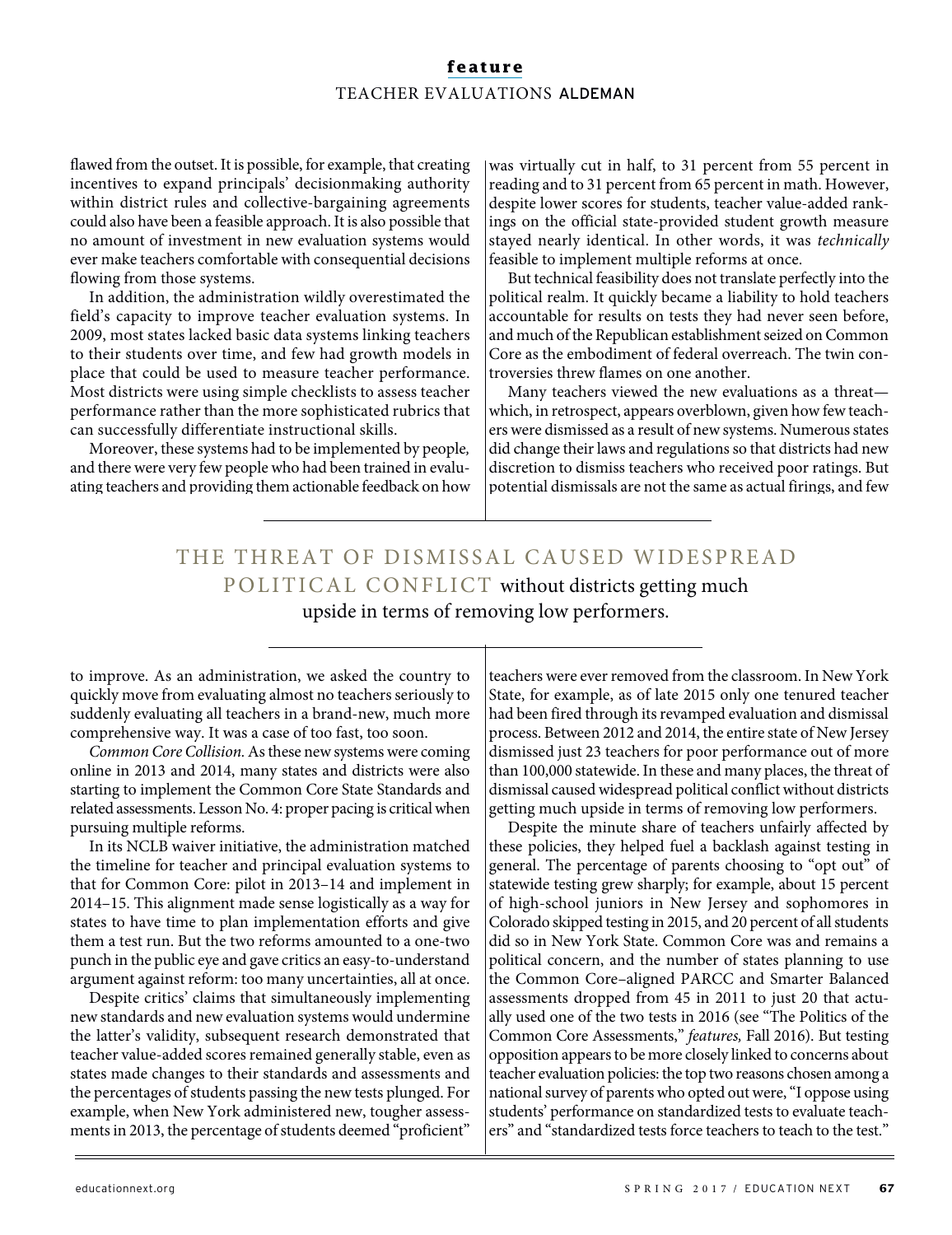flawed from the outset. It is possible, for example, that creating incentives to expand principals' decisionmaking authority within district rules and collective-bargaining agreements could also have been a feasible approach. It is also possible that no amount of investment in new evaluation systems would ever make teachers comfortable with consequential decisions flowing from those systems.

In addition, the administration wildly overestimated the field's capacity to improve teacher evaluation systems. In 2009, most states lacked basic data systems linking teachers to their students over time, and few had growth models in place that could be used to measure teacher performance. Most districts were using simple checklists to assess teacher performance rather than the more sophisticated rubrics that can successfully differentiate instructional skills.

Moreover, these systems had to be implemented by people, and there were very few people who had been trained in evaluating teachers and providing them actionable feedback on how was virtually cut in half, to 31 percent from 55 percent in reading and to 31 percent from 65 percent in math. However, despite lower scores for students, teacher value-added rankings on the official state-provided student growth measure stayed nearly identical. In other words, it was technically feasible to implement multiple reforms at once.

But technical feasibility does not translate perfectly into the political realm. It quickly became a liability to hold teachers accountable for results on tests they had never seen before, and much of the Republican establishment seized on Common Core as the embodiment of federal overreach. The twin controversies threw flames on one another.

Many teachers viewed the new evaluations as a threat which, in retrospect, appears overblown, given how few teachers were dismissed as a result of new systems. Numerous states did change their laws and regulations so that districts had new discretion to dismiss teachers who received poor ratings. But potential dismissals are not the same as actual firings, and few

# THE THREAT OF DISMISSAL CAUSED WIDESPREAD POLITICAL CONFLICT without districts getting much upside in terms of removing low performers.

to improve. As an administration, we asked the country to quickly move from evaluating almost no teachers seriously to suddenly evaluating all teachers in a brand-new, much more comprehensive way. It was a case of too fast, too soon.

Common Core Collision. As these new systems were coming online in 2013 and 2014, many states and districts were also starting to implement the Common Core State Standards and related assessments. Lesson No. 4: proper pacing is critical when pursuing multiple reforms.

In its NCLB waiver initiative, the administration matched the timeline for teacher and principal evaluation systems to that for Common Core: pilot in 2013–14 and implement in 2014–15. This alignment made sense logistically as a way for states to have time to plan implementation efforts and give them a test run. But the two reforms amounted to a one-two punch in the public eye and gave critics an easy-to-understand argument against reform: too many uncertainties, all at once.

Despite critics' claims that simultaneously implementing new standards and new evaluation systems would undermine the latter's validity, subsequent research demonstrated that teacher value-added scores remained generally stable, even as states made changes to their standards and assessments and the percentages of students passing the new tests plunged. For example, when New York administered new, tougher assessments in 2013, the percentage of students deemed "proficient"

teachers were ever removed from the classroom. In New York State, for example, as of late 2015 only one tenured teacher had been fired through its revamped evaluation and dismissal process. Between 2012 and 2014, the entire state of New Jersey dismissed just 23 teachers for poor performance out of more than 100,000 statewide. In these and many places, the threat of dismissal caused widespread political conflict without districts getting much upside in terms of removing low performers.

Despite the minute share of teachers unfairly affected by these policies, they helped fuel a backlash against testing in general. The percentage of parents choosing to "opt out" of statewide testing grew sharply; for example, about 15 percent of high-school juniors in New Jersey and sophomores in Colorado skipped testing in 2015, and 20 percent of all students did so in New York State. Common Core was and remains a political concern, and the number of states planning to use the Common Core–aligned PARCC and Smarter Balanced assessments dropped from 45 in 2011 to just 20 that actually used one of the two tests in 2016 (see "The Politics of the Common Core Assessments," features, Fall 2016). But testing opposition appears to be more closely linked to concerns about teacher evaluation policies: the top two reasons chosen among a national survey of parents who opted out were, "I oppose using students' performance on standardized tests to evaluate teachers" and "standardized tests force teachers to teach to the test."